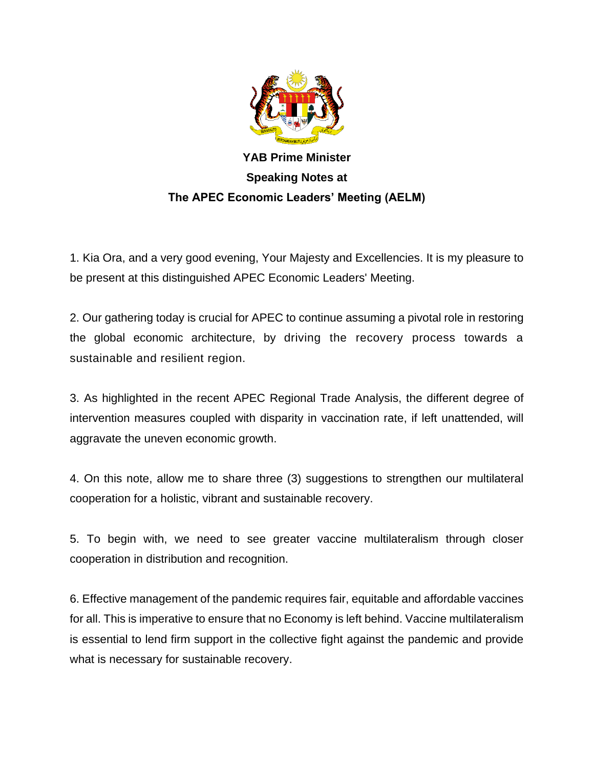

**YAB Prime Minister Speaking Notes at The APEC Economic Leaders' Meeting (AELM)**

1. Kia Ora, and a very good evening, Your Majesty and Excellencies. It is my pleasure to be present at this distinguished APEC Economic Leaders' Meeting.

2. Our gathering today is crucial for APEC to continue assuming a pivotal role in restoring the global economic architecture, by driving the recovery process towards a sustainable and resilient region.

3. As highlighted in the recent APEC Regional Trade Analysis, the different degree of intervention measures coupled with disparity in vaccination rate, if left unattended, will aggravate the uneven economic growth.

4. On this note, allow me to share three (3) suggestions to strengthen our multilateral cooperation for a holistic, vibrant and sustainable recovery.

5. To begin with, we need to see greater vaccine multilateralism through closer cooperation in distribution and recognition.

6. Effective management of the pandemic requires fair, equitable and affordable vaccines for all. This is imperative to ensure that no Economy is left behind. Vaccine multilateralism is essential to lend firm support in the collective fight against the pandemic and provide what is necessary for sustainable recovery.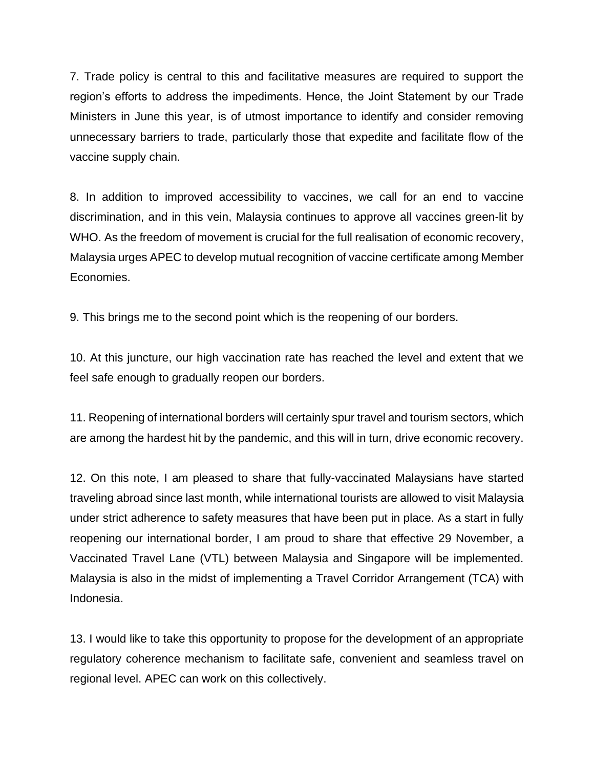7. Trade policy is central to this and facilitative measures are required to support the region's efforts to address the impediments. Hence, the Joint Statement by our Trade Ministers in June this year, is of utmost importance to identify and consider removing unnecessary barriers to trade, particularly those that expedite and facilitate flow of the vaccine supply chain.

8. In addition to improved accessibility to vaccines, we call for an end to vaccine discrimination, and in this vein, Malaysia continues to approve all vaccines green-lit by WHO. As the freedom of movement is crucial for the full realisation of economic recovery, Malaysia urges APEC to develop mutual recognition of vaccine certificate among Member Economies.

9. This brings me to the second point which is the reopening of our borders.

10. At this juncture, our high vaccination rate has reached the level and extent that we feel safe enough to gradually reopen our borders.

11. Reopening of international borders will certainly spur travel and tourism sectors, which are among the hardest hit by the pandemic, and this will in turn, drive economic recovery.

12. On this note, I am pleased to share that fully-vaccinated Malaysians have started traveling abroad since last month, while international tourists are allowed to visit Malaysia under strict adherence to safety measures that have been put in place. As a start in fully reopening our international border, I am proud to share that effective 29 November, a Vaccinated Travel Lane (VTL) between Malaysia and Singapore will be implemented. Malaysia is also in the midst of implementing a Travel Corridor Arrangement (TCA) with Indonesia.

13. I would like to take this opportunity to propose for the development of an appropriate regulatory coherence mechanism to facilitate safe, convenient and seamless travel on regional level. APEC can work on this collectively.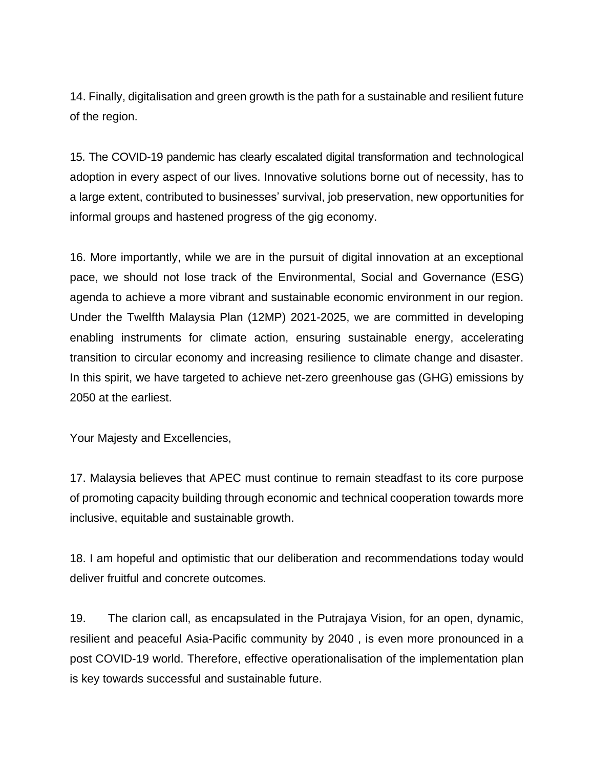14. Finally, digitalisation and green growth is the path for a sustainable and resilient future of the region.

15. The COVID-19 pandemic has clearly escalated digital transformation and technological adoption in every aspect of our lives. Innovative solutions borne out of necessity, has to a large extent, contributed to businesses' survival, job preservation, new opportunities for informal groups and hastened progress of the gig economy.

16. More importantly, while we are in the pursuit of digital innovation at an exceptional pace, we should not lose track of the Environmental, Social and Governance (ESG) agenda to achieve a more vibrant and sustainable economic environment in our region. Under the Twelfth Malaysia Plan (12MP) 2021-2025, we are committed in developing enabling instruments for climate action, ensuring sustainable energy, accelerating transition to circular economy and increasing resilience to climate change and disaster. In this spirit, we have targeted to achieve net-zero greenhouse gas (GHG) emissions by 2050 at the earliest.

Your Majesty and Excellencies,

17. Malaysia believes that APEC must continue to remain steadfast to its core purpose of promoting capacity building through economic and technical cooperation towards more inclusive, equitable and sustainable growth.

18. I am hopeful and optimistic that our deliberation and recommendations today would deliver fruitful and concrete outcomes.

19. The clarion call, as encapsulated in the Putrajaya Vision, for an open, dynamic, resilient and peaceful Asia-Pacific community by 2040 , is even more pronounced in a post COVID-19 world. Therefore, effective operationalisation of the implementation plan is key towards successful and sustainable future.